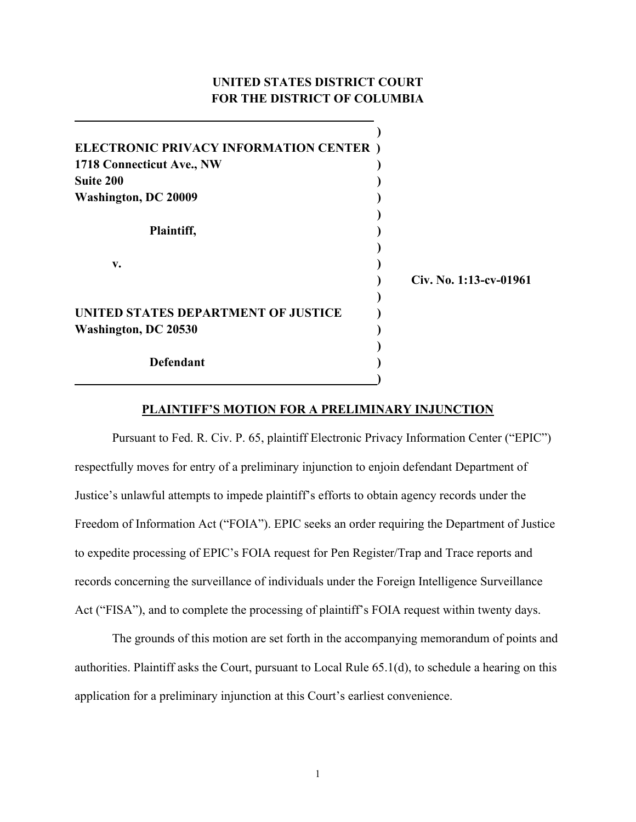# **UNITED STATES DISTRICT COURT FOR THE DISTRICT OF COLUMBIA**

**\_\_\_\_\_\_\_\_\_\_\_\_\_\_\_\_\_\_\_\_\_\_\_\_\_\_\_\_\_\_\_\_\_\_\_\_\_\_\_\_\_\_\_\_\_\_\_\_** 

| <b>ELECTRONIC PRIVACY INFORMATION CENTER</b> ) |                        |
|------------------------------------------------|------------------------|
| 1718 Connecticut Ave., NW                      |                        |
| <b>Suite 200</b>                               |                        |
| <b>Washington, DC 20009</b>                    |                        |
|                                                |                        |
| Plaintiff,                                     |                        |
|                                                |                        |
| v.                                             |                        |
|                                                | Civ. No. 1:13-cv-01961 |
|                                                |                        |
| UNITED STATES DEPARTMENT OF JUSTICE            |                        |
| <b>Washington, DC 20530</b>                    |                        |
|                                                |                        |
| Defendant                                      |                        |
|                                                |                        |

### **PLAINTIFF'S MOTION FOR A PRELIMINARY INJUNCTION**

Pursuant to Fed. R. Civ. P. 65, plaintiff Electronic Privacy Information Center ("EPIC") respectfully moves for entry of a preliminary injunction to enjoin defendant Department of Justice's unlawful attempts to impede plaintiff's efforts to obtain agency records under the Freedom of Information Act ("FOIA"). EPIC seeks an order requiring the Department of Justice to expedite processing of EPIC's FOIA request for Pen Register/Trap and Trace reports and records concerning the surveillance of individuals under the Foreign Intelligence Surveillance Act ("FISA"), and to complete the processing of plaintiff's FOIA request within twenty days.

The grounds of this motion are set forth in the accompanying memorandum of points and authorities. Plaintiff asks the Court, pursuant to Local Rule 65.1(d), to schedule a hearing on this application for a preliminary injunction at this Court's earliest convenience.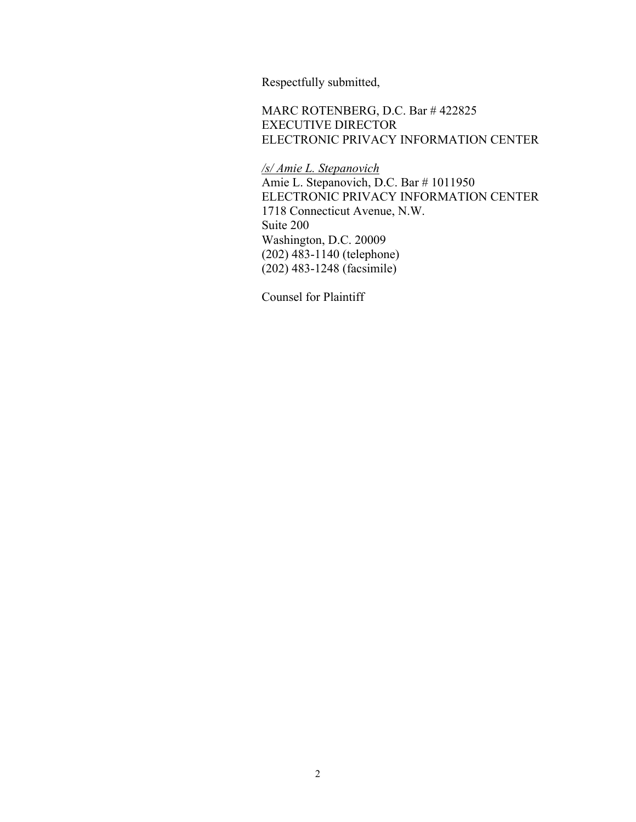Respectfully submitted,

MARC ROTENBERG, D.C. Bar # 422825 EXECUTIVE DIRECTOR ELECTRONIC PRIVACY INFORMATION CENTER

*/s/ Amie L. Stepanovich*

Amie L. Stepanovich, D.C. Bar # 1011950 ELECTRONIC PRIVACY INFORMATION CENTER 1718 Connecticut Avenue, N.W. Suite 200 Washington, D.C. 20009 (202) 483-1140 (telephone) (202) 483-1248 (facsimile)

Counsel for Plaintiff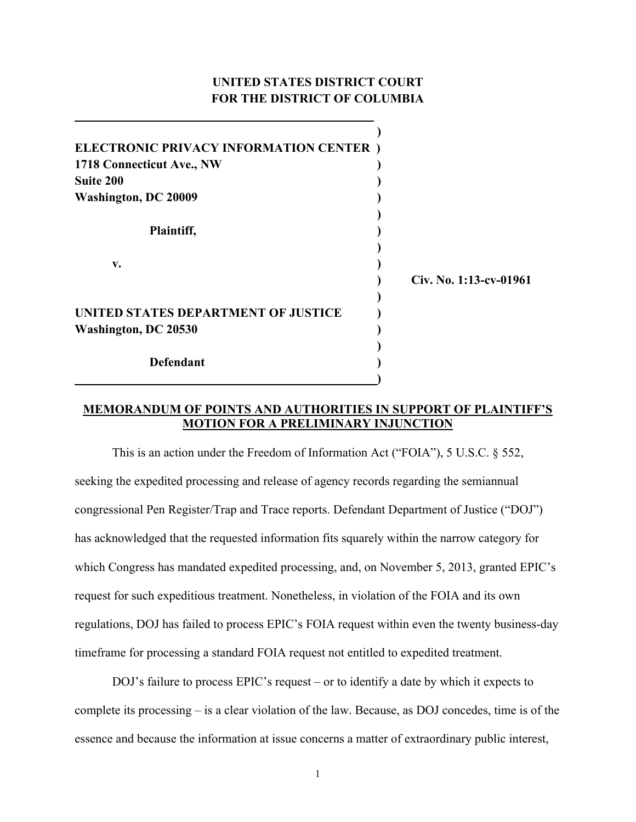# **UNITED STATES DISTRICT COURT FOR THE DISTRICT OF COLUMBIA**

**\_\_\_\_\_\_\_\_\_\_\_\_\_\_\_\_\_\_\_\_\_\_\_\_\_\_\_\_\_\_\_\_\_\_\_\_\_\_\_\_\_\_\_\_\_\_\_\_** 

| <b>ELECTRONIC PRIVACY INFORMATION CENTER</b> ) |                        |
|------------------------------------------------|------------------------|
| 1718 Connecticut Ave., NW                      |                        |
| <b>Suite 200</b>                               |                        |
| <b>Washington, DC 20009</b>                    |                        |
|                                                |                        |
| Plaintiff,                                     |                        |
|                                                |                        |
| v.                                             |                        |
|                                                | Civ. No. 1:13-cv-01961 |
|                                                |                        |
| UNITED STATES DEPARTMENT OF JUSTICE            |                        |
| <b>Washington, DC 20530</b>                    |                        |
|                                                |                        |
| <b>Defendant</b>                               |                        |
|                                                |                        |

### **MEMORANDUM OF POINTS AND AUTHORITIES IN SUPPORT OF PLAINTIFF'S MOTION FOR A PRELIMINARY INJUNCTION**

This is an action under the Freedom of Information Act ("FOIA"), 5 U.S.C. § 552, seeking the expedited processing and release of agency records regarding the semiannual congressional Pen Register/Trap and Trace reports. Defendant Department of Justice ("DOJ") has acknowledged that the requested information fits squarely within the narrow category for which Congress has mandated expedited processing, and, on November 5, 2013, granted EPIC's request for such expeditious treatment. Nonetheless, in violation of the FOIA and its own regulations, DOJ has failed to process EPIC's FOIA request within even the twenty business-day timeframe for processing a standard FOIA request not entitled to expedited treatment.

DOJ's failure to process EPIC's request – or to identify a date by which it expects to complete its processing – is a clear violation of the law. Because, as DOJ concedes, time is of the essence and because the information at issue concerns a matter of extraordinary public interest,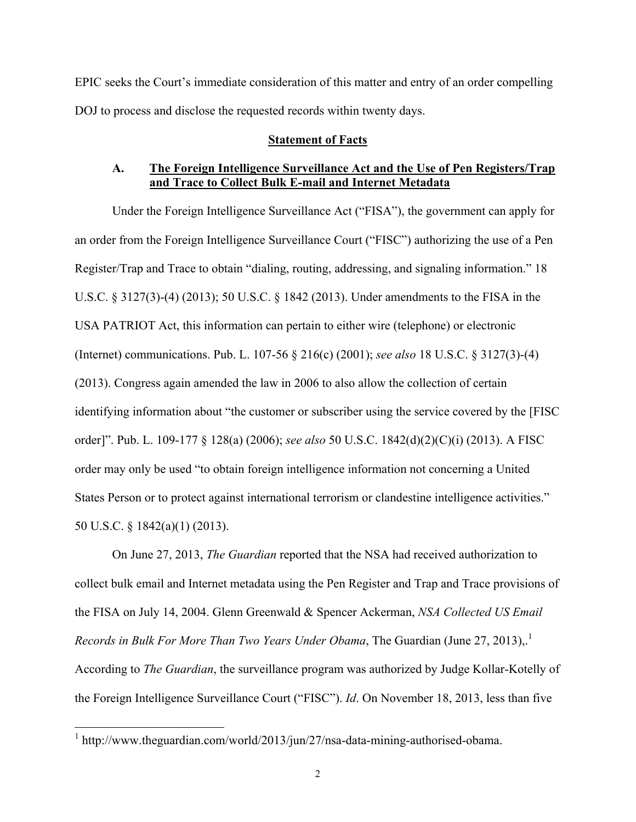EPIC seeks the Court's immediate consideration of this matter and entry of an order compelling DOJ to process and disclose the requested records within twenty days.

### **Statement of Facts**

## **A. The Foreign Intelligence Surveillance Act and the Use of Pen Registers/Trap and Trace to Collect Bulk E-mail and Internet Metadata**

Under the Foreign Intelligence Surveillance Act ("FISA"), the government can apply for an order from the Foreign Intelligence Surveillance Court ("FISC") authorizing the use of a Pen Register/Trap and Trace to obtain "dialing, routing, addressing, and signaling information." 18 U.S.C. § 3127(3)-(4) (2013); 50 U.S.C. § 1842 (2013). Under amendments to the FISA in the USA PATRIOT Act, this information can pertain to either wire (telephone) or electronic (Internet) communications. Pub. L. 107-56 § 216(c) (2001); *see also* 18 U.S.C. § 3127(3)-(4) (2013). Congress again amended the law in 2006 to also allow the collection of certain identifying information about "the customer or subscriber using the service covered by the [FISC order]". Pub. L. 109-177 § 128(a) (2006); *see also* 50 U.S.C. 1842(d)(2)(C)(i) (2013). A FISC order may only be used "to obtain foreign intelligence information not concerning a United States Person or to protect against international terrorism or clandestine intelligence activities." 50 U.S.C. § 1842(a)(1) (2013).

On June 27, 2013, *The Guardian* reported that the NSA had received authorization to collect bulk email and Internet metadata using the Pen Register and Trap and Trace provisions of the FISA on July 14, 2004. Glenn Greenwald & Spencer Ackerman, *NSA Collected US Email Records in Bulk For More Than Two Years Under Obama*, The Guardian (June 27, 2013)..<sup>1</sup> According to *The Guardian*, the surveillance program was authorized by Judge Kollar-Kotelly of the Foreign Intelligence Surveillance Court ("FISC"). *Id*. On November 18, 2013, less than five

 $1$  http://www.theguardian.com/world/2013/jun/27/nsa-data-mining-authorised-obama.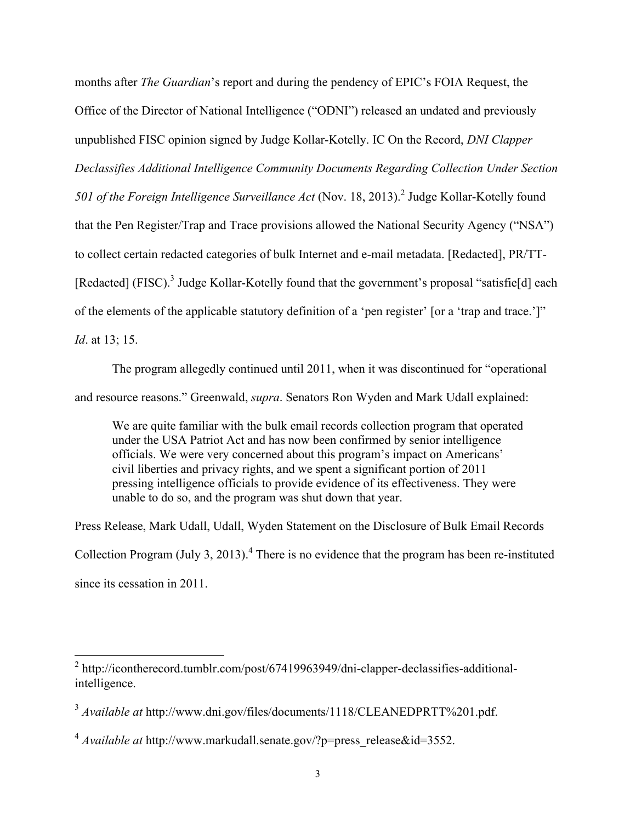months after *The Guardian*'s report and during the pendency of EPIC's FOIA Request, the Office of the Director of National Intelligence ("ODNI") released an undated and previously unpublished FISC opinion signed by Judge Kollar-Kotelly. IC On the Record, *DNI Clapper Declassifies Additional Intelligence Community Documents Regarding Collection Under Section*  501 of the Foreign Intelligence Surveillance Act (Nov. 18, 2013).<sup>2</sup> Judge Kollar-Kotelly found that the Pen Register/Trap and Trace provisions allowed the National Security Agency ("NSA") to collect certain redacted categories of bulk Internet and e-mail metadata. [Redacted], PR/TT- [Redacted] (FISC).<sup>3</sup> Judge Kollar-Kotelly found that the government's proposal "satisfie[d] each of the elements of the applicable statutory definition of a 'pen register' [or a 'trap and trace.']" *Id*. at 13; 15.

The program allegedly continued until 2011, when it was discontinued for "operational

and resource reasons." Greenwald, *supra*. Senators Ron Wyden and Mark Udall explained:

We are quite familiar with the bulk email records collection program that operated under the USA Patriot Act and has now been confirmed by senior intelligence officials. We were very concerned about this program's impact on Americans' civil liberties and privacy rights, and we spent a significant portion of 2011 pressing intelligence officials to provide evidence of its effectiveness. They were unable to do so, and the program was shut down that year.

Press Release, Mark Udall, Udall, Wyden Statement on the Disclosure of Bulk Email Records Collection Program (July 3, 2013).<sup>4</sup> There is no evidence that the program has been re-instituted since its cessation in 2011.

 $^2$  http://icontherecord.tumblr.com/post/67419963949/dni-clapper-declassifies-additionalintelligence.

<sup>3</sup> *Available at* http://www.dni.gov/files/documents/1118/CLEANEDPRTT%201.pdf.

<sup>&</sup>lt;sup>4</sup> *Available at* http://www.markudall.senate.gov/?p=press\_release&id=3552.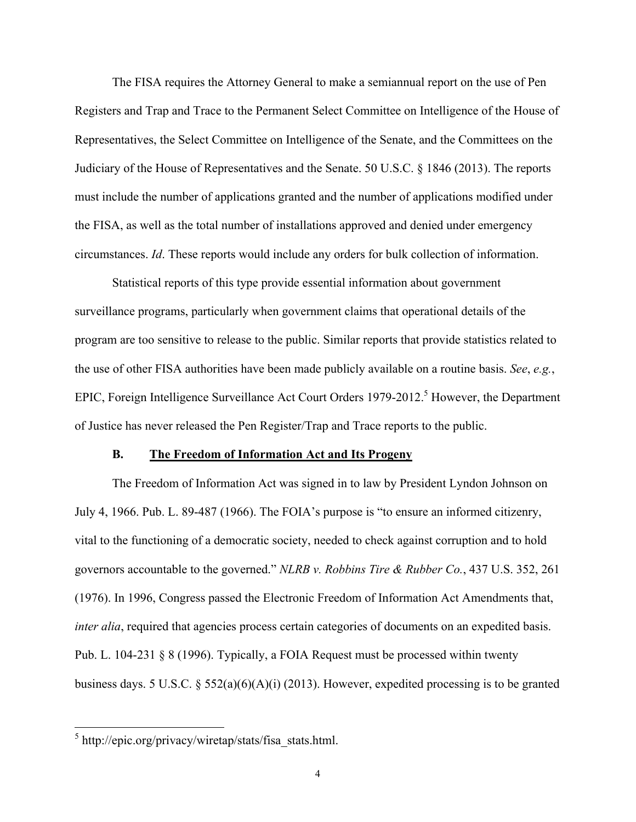The FISA requires the Attorney General to make a semiannual report on the use of Pen Registers and Trap and Trace to the Permanent Select Committee on Intelligence of the House of Representatives, the Select Committee on Intelligence of the Senate, and the Committees on the Judiciary of the House of Representatives and the Senate. 50 U.S.C. § 1846 (2013). The reports must include the number of applications granted and the number of applications modified under the FISA, as well as the total number of installations approved and denied under emergency circumstances. *Id*. These reports would include any orders for bulk collection of information.

Statistical reports of this type provide essential information about government surveillance programs, particularly when government claims that operational details of the program are too sensitive to release to the public. Similar reports that provide statistics related to the use of other FISA authorities have been made publicly available on a routine basis. *See*, *e.g.*, EPIC, Foreign Intelligence Surveillance Act Court Orders  $1979-2012$ <sup>5</sup> However, the Department of Justice has never released the Pen Register/Trap and Trace reports to the public.

### **B. The Freedom of Information Act and Its Progeny**

The Freedom of Information Act was signed in to law by President Lyndon Johnson on July 4, 1966. Pub. L. 89-487 (1966). The FOIA's purpose is "to ensure an informed citizenry, vital to the functioning of a democratic society, needed to check against corruption and to hold governors accountable to the governed." *NLRB v. Robbins Tire & Rubber Co.*, 437 U.S. 352, 261 (1976). In 1996, Congress passed the Electronic Freedom of Information Act Amendments that, *inter alia*, required that agencies process certain categories of documents on an expedited basis. Pub. L. 104-231 § 8 (1996). Typically, a FOIA Request must be processed within twenty business days. 5 U.S.C. § 552(a)(6)(A)(i) (2013). However, expedited processing is to be granted

<sup>&</sup>lt;sup>5</sup> http://epic.org/privacy/wiretap/stats/fisa\_stats.html.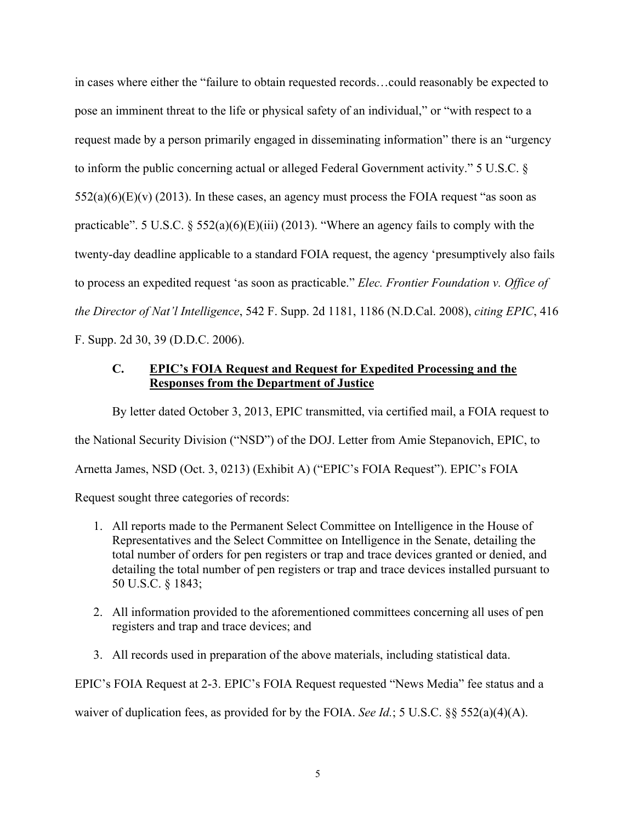in cases where either the "failure to obtain requested records…could reasonably be expected to pose an imminent threat to the life or physical safety of an individual," or "with respect to a request made by a person primarily engaged in disseminating information" there is an "urgency to inform the public concerning actual or alleged Federal Government activity." 5 U.S.C. §  $552(a)(6)(E)(v)$  (2013). In these cases, an agency must process the FOIA request "as soon as practicable". 5 U.S.C.  $\S$  552(a)(6)(E)(iii) (2013). "Where an agency fails to comply with the twenty-day deadline applicable to a standard FOIA request, the agency 'presumptively also fails to process an expedited request 'as soon as practicable." *Elec. Frontier Foundation v. Office of the Director of Nat'l Intelligence*, 542 F. Supp. 2d 1181, 1186 (N.D.Cal. 2008), *citing EPIC*, 416 F. Supp. 2d 30, 39 (D.D.C. 2006).

## **C. EPIC's FOIA Request and Request for Expedited Processing and the Responses from the Department of Justice**

By letter dated October 3, 2013, EPIC transmitted, via certified mail, a FOIA request to the National Security Division ("NSD") of the DOJ. Letter from Amie Stepanovich, EPIC, to Arnetta James, NSD (Oct. 3, 0213) (Exhibit A) ("EPIC's FOIA Request"). EPIC's FOIA Request sought three categories of records:

- 1. All reports made to the Permanent Select Committee on Intelligence in the House of Representatives and the Select Committee on Intelligence in the Senate, detailing the total number of orders for pen registers or trap and trace devices granted or denied, and detailing the total number of pen registers or trap and trace devices installed pursuant to 50 U.S.C. § 1843;
- 2. All information provided to the aforementioned committees concerning all uses of pen registers and trap and trace devices; and
- 3. All records used in preparation of the above materials, including statistical data.

EPIC's FOIA Request at 2-3. EPIC's FOIA Request requested "News Media" fee status and a

waiver of duplication fees, as provided for by the FOIA. *See Id.*; 5 U.S.C. §§ 552(a)(4)(A).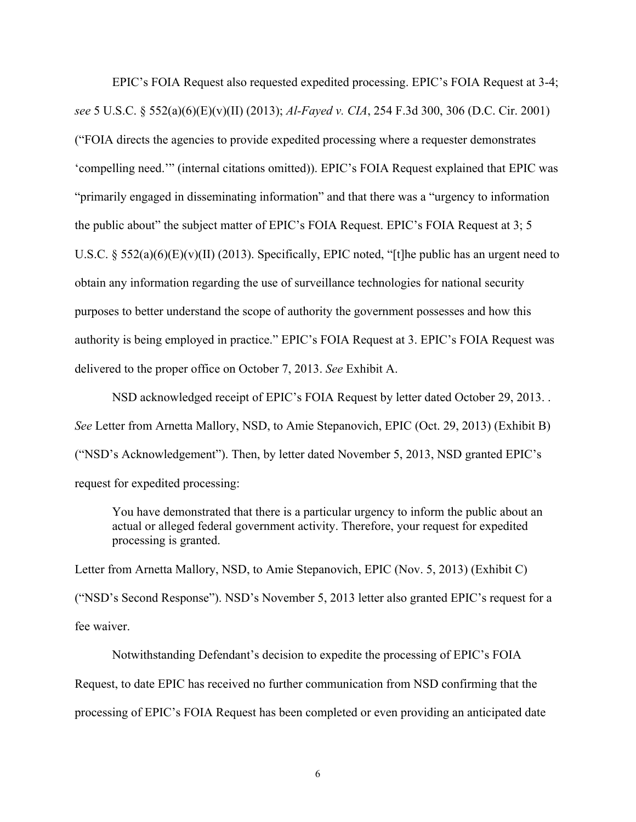EPIC's FOIA Request also requested expedited processing. EPIC's FOIA Request at 3-4; *see* 5 U.S.C. § 552(a)(6)(E)(v)(II) (2013); *Al-Fayed v. CIA*, 254 F.3d 300, 306 (D.C. Cir. 2001) ("FOIA directs the agencies to provide expedited processing where a requester demonstrates 'compelling need.'" (internal citations omitted)). EPIC's FOIA Request explained that EPIC was "primarily engaged in disseminating information" and that there was a "urgency to information the public about" the subject matter of EPIC's FOIA Request. EPIC's FOIA Request at 3; 5 U.S.C. § 552(a)(6)(E)(v)(II) (2013). Specifically, EPIC noted, "[t]he public has an urgent need to obtain any information regarding the use of surveillance technologies for national security purposes to better understand the scope of authority the government possesses and how this authority is being employed in practice." EPIC's FOIA Request at 3. EPIC's FOIA Request was delivered to the proper office on October 7, 2013. *See* Exhibit A.

NSD acknowledged receipt of EPIC's FOIA Request by letter dated October 29, 2013. . *See* Letter from Arnetta Mallory, NSD, to Amie Stepanovich, EPIC (Oct. 29, 2013) (Exhibit B) ("NSD's Acknowledgement"). Then, by letter dated November 5, 2013, NSD granted EPIC's request for expedited processing:

You have demonstrated that there is a particular urgency to inform the public about an actual or alleged federal government activity. Therefore, your request for expedited processing is granted.

Letter from Arnetta Mallory, NSD, to Amie Stepanovich, EPIC (Nov. 5, 2013) (Exhibit C) ("NSD's Second Response"). NSD's November 5, 2013 letter also granted EPIC's request for a fee waiver.

Notwithstanding Defendant's decision to expedite the processing of EPIC's FOIA Request, to date EPIC has received no further communication from NSD confirming that the processing of EPIC's FOIA Request has been completed or even providing an anticipated date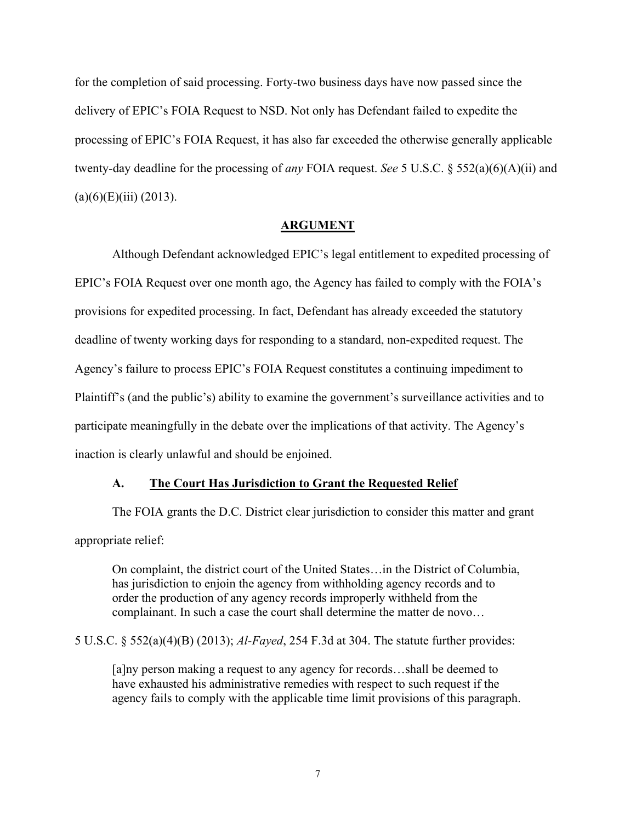for the completion of said processing. Forty-two business days have now passed since the delivery of EPIC's FOIA Request to NSD. Not only has Defendant failed to expedite the processing of EPIC's FOIA Request, it has also far exceeded the otherwise generally applicable twenty-day deadline for the processing of *any* FOIA request. *See* 5 U.S.C. § 552(a)(6)(A)(ii) and  $(a)(6)(E)(iii) (2013).$ 

### **ARGUMENT**

Although Defendant acknowledged EPIC's legal entitlement to expedited processing of EPIC's FOIA Request over one month ago, the Agency has failed to comply with the FOIA's provisions for expedited processing. In fact, Defendant has already exceeded the statutory deadline of twenty working days for responding to a standard, non-expedited request. The Agency's failure to process EPIC's FOIA Request constitutes a continuing impediment to Plaintiff's (and the public's) ability to examine the government's surveillance activities and to participate meaningfully in the debate over the implications of that activity. The Agency's inaction is clearly unlawful and should be enjoined.

### **A. The Court Has Jurisdiction to Grant the Requested Relief**

The FOIA grants the D.C. District clear jurisdiction to consider this matter and grant appropriate relief:

On complaint, the district court of the United States…in the District of Columbia, has jurisdiction to enjoin the agency from withholding agency records and to order the production of any agency records improperly withheld from the complainant. In such a case the court shall determine the matter de novo…

### 5 U.S.C. § 552(a)(4)(B) (2013); *Al-Fayed*, 254 F.3d at 304. The statute further provides:

[a]ny person making a request to any agency for records…shall be deemed to have exhausted his administrative remedies with respect to such request if the agency fails to comply with the applicable time limit provisions of this paragraph.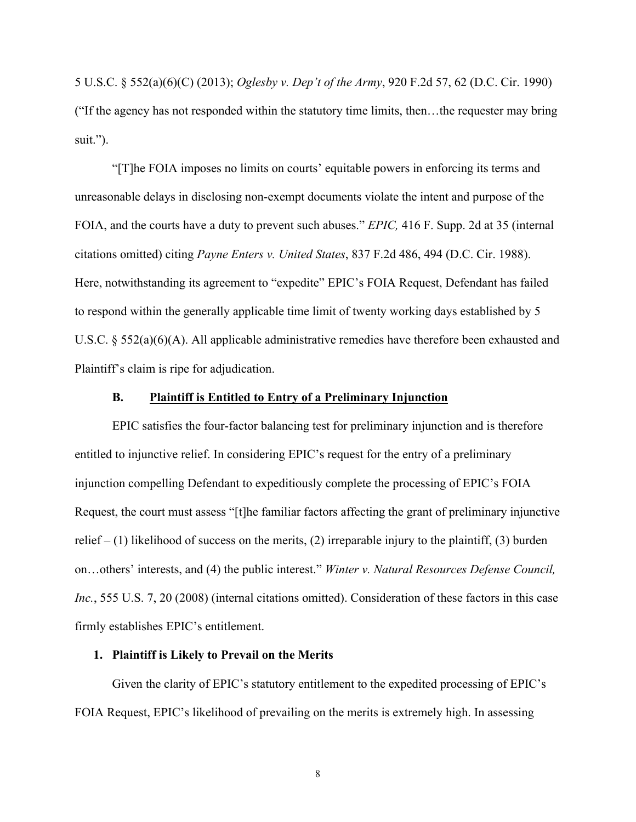5 U.S.C. § 552(a)(6)(C) (2013); *Oglesby v. Dep't of the Army*, 920 F.2d 57, 62 (D.C. Cir. 1990) ("If the agency has not responded within the statutory time limits, then…the requester may bring suit.").

"[T]he FOIA imposes no limits on courts' equitable powers in enforcing its terms and unreasonable delays in disclosing non-exempt documents violate the intent and purpose of the FOIA, and the courts have a duty to prevent such abuses." *EPIC,* 416 F. Supp. 2d at 35 (internal citations omitted) citing *Payne Enters v. United States*, 837 F.2d 486, 494 (D.C. Cir. 1988). Here, notwithstanding its agreement to "expedite" EPIC's FOIA Request, Defendant has failed to respond within the generally applicable time limit of twenty working days established by 5 U.S.C. § 552(a)(6)(A). All applicable administrative remedies have therefore been exhausted and Plaintiff's claim is ripe for adjudication.

### **B. Plaintiff is Entitled to Entry of a Preliminary Injunction**

EPIC satisfies the four-factor balancing test for preliminary injunction and is therefore entitled to injunctive relief. In considering EPIC's request for the entry of a preliminary injunction compelling Defendant to expeditiously complete the processing of EPIC's FOIA Request, the court must assess "[t]he familiar factors affecting the grant of preliminary injunctive relief  $- (1)$  likelihood of success on the merits, (2) irreparable injury to the plaintiff, (3) burden on…others' interests, and (4) the public interest." *Winter v. Natural Resources Defense Council, Inc.*, 555 U.S. 7, 20 (2008) (internal citations omitted). Consideration of these factors in this case firmly establishes EPIC's entitlement.

### **1. Plaintiff is Likely to Prevail on the Merits**

Given the clarity of EPIC's statutory entitlement to the expedited processing of EPIC's FOIA Request, EPIC's likelihood of prevailing on the merits is extremely high. In assessing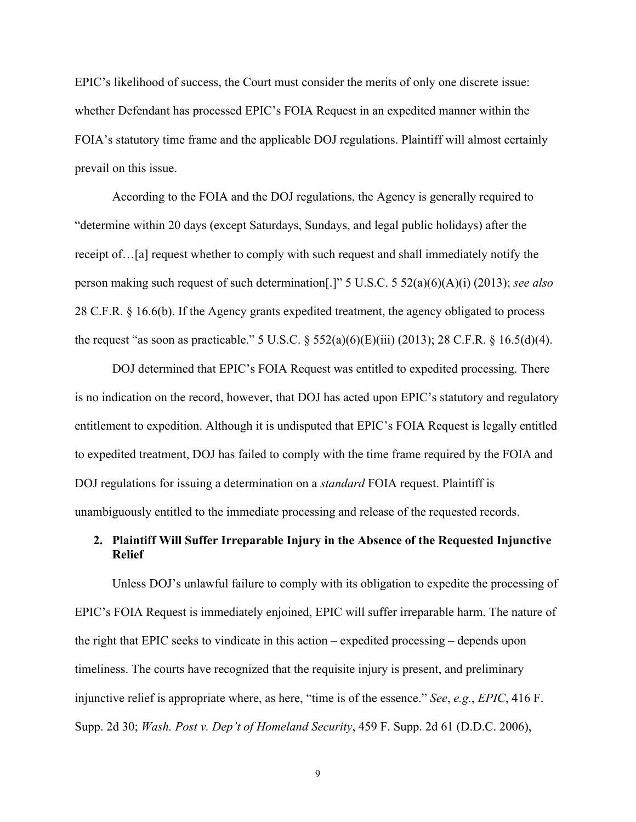EPIC's likelihood of success, the Court must consider the merits of only one discrete issue: whether Defendant has processed EPIC's FOIA Request in an expedited manner within the FOIA's statutory time frame and the applicable DOJ regulations. Plaintiff will almost certainly prevail on this issue.

According to the FOIA and the DOJ regulations, the Agency is generally required to "determine within 20 days (except Saturdays, Sundays, and legal public holidays) after the receipt of…[a] request whether to comply with such request and shall immediately notify the person making such request of such determination[.]" 5 U.S.C. 5 52(a)(6)(A)(i) (2013); *see also* 28 C.F.R. § 16.6(b). If the Agency grants expedited treatment, the agency obligated to process the request "as soon as practicable." 5 U.S.C.  $\S$  552(a)(6)(E)(iii) (2013); 28 C.F.R.  $\S$  16.5(d)(4).

DOJ determined that EPIC's FOIA Request was entitled to expedited processing. There is no indication on the record, however, that DOJ has acted upon EPIC's statutory and regulatory entitlement to expedition. Although it is undisputed that EPIC's FOIA Request is legally entitled to expedited treatment, DOJ has failed to comply with the time frame required by the FOIA and DOJ regulations for issuing a determination on a *standard* FOIA request. Plaintiff is unambiguously entitled to the immediate processing and release of the requested records.

## **2. Plaintiff Will Suffer Irreparable Injury in the Absence of the Requested Injunctive Relief**

Unless DOJ's unlawful failure to comply with its obligation to expedite the processing of EPIC's FOIA Request is immediately enjoined, EPIC will suffer irreparable harm. The nature of the right that EPIC seeks to vindicate in this action – expedited processing – depends upon timeliness. The courts have recognized that the requisite injury is present, and preliminary injunctive relief is appropriate where, as here, "time is of the essence." *See*, *e.g.*, *EPIC*, 416 F. Supp. 2d 30; *Wash. Post v. Dep't of Homeland Security*, 459 F. Supp. 2d 61 (D.D.C. 2006),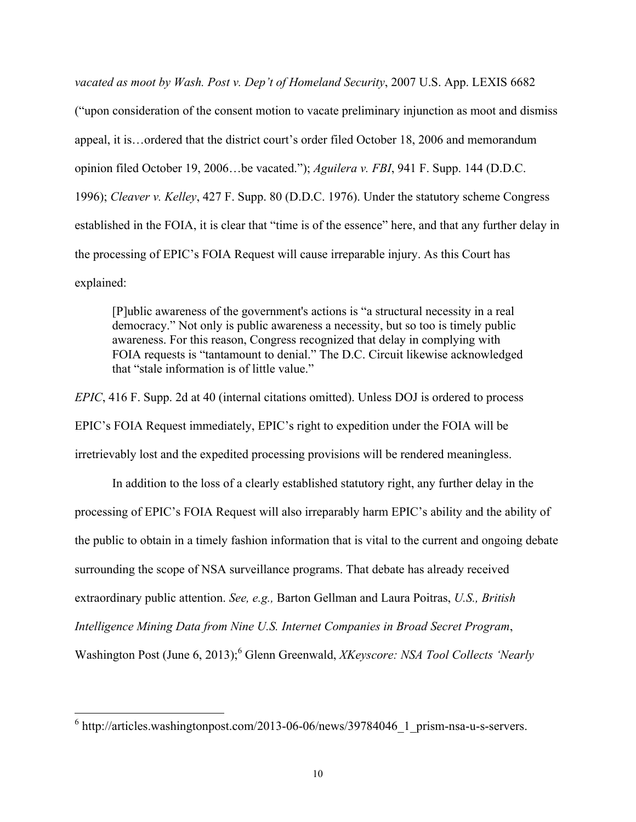*vacated as moot by Wash. Post v. Dep't of Homeland Security*, 2007 U.S. App. LEXIS 6682 ("upon consideration of the consent motion to vacate preliminary injunction as moot and dismiss appeal, it is…ordered that the district court's order filed October 18, 2006 and memorandum opinion filed October 19, 2006…be vacated."); *Aguilera v. FBI*, 941 F. Supp. 144 (D.D.C. 1996); *Cleaver v. Kelley*, 427 F. Supp. 80 (D.D.C. 1976). Under the statutory scheme Congress established in the FOIA, it is clear that "time is of the essence" here, and that any further delay in the processing of EPIC's FOIA Request will cause irreparable injury. As this Court has explained:

[P]ublic awareness of the government's actions is "a structural necessity in a real democracy." Not only is public awareness a necessity, but so too is timely public awareness. For this reason, Congress recognized that delay in complying with FOIA requests is "tantamount to denial." The D.C. Circuit likewise acknowledged that "stale information is of little value."

*EPIC*, 416 F. Supp. 2d at 40 (internal citations omitted). Unless DOJ is ordered to process EPIC's FOIA Request immediately, EPIC's right to expedition under the FOIA will be irretrievably lost and the expedited processing provisions will be rendered meaningless.

In addition to the loss of a clearly established statutory right, any further delay in the processing of EPIC's FOIA Request will also irreparably harm EPIC's ability and the ability of the public to obtain in a timely fashion information that is vital to the current and ongoing debate surrounding the scope of NSA surveillance programs. That debate has already received extraordinary public attention. *See, e.g.,* Barton Gellman and Laura Poitras, *U.S., British Intelligence Mining Data from Nine U.S. Internet Companies in Broad Secret Program*, Washington Post (June 6, 2013);<sup>6</sup> Glenn Greenwald, *XKeyscore: NSA Tool Collects 'Nearly* 

 $\frac{1}{6}$  http://articles.washingtonpost.com/2013-06-06/news/39784046\_1\_prism-nsa-u-s-servers.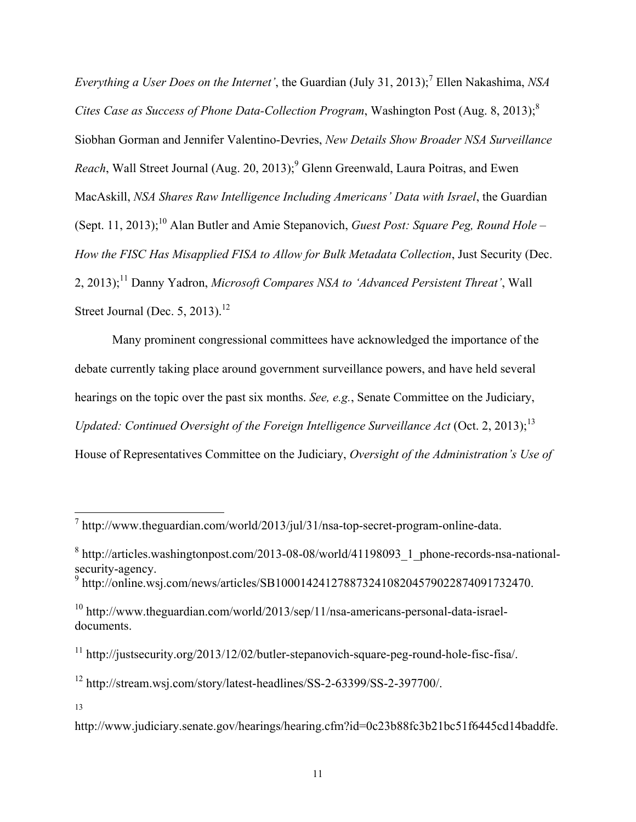*Everything a User Does on the Internet'*, the Guardian (July 31, 2013);<sup>7</sup> Ellen Nakashima, *NSA Cites Case as Success of Phone Data-Collection Program*, Washington Post (Aug. 8, 2013);<sup>8</sup> Siobhan Gorman and Jennifer Valentino-Devries, *New Details Show Broader NSA Surveillance Reach*, Wall Street Journal (Aug. 20, 2013);<sup>9</sup> Glenn Greenwald, Laura Poitras, and Ewen MacAskill, *NSA Shares Raw Intelligence Including Americans' Data with Israel*, the Guardian (Sept. 11, 2013);10 Alan Butler and Amie Stepanovich, *Guest Post: Square Peg, Round Hole – How the FISC Has Misapplied FISA to Allow for Bulk Metadata Collection*, Just Security (Dec. 2, 2013);11 Danny Yadron, *Microsoft Compares NSA to 'Advanced Persistent Threat'*, Wall Street Journal (Dec. 5, 2013).<sup>12</sup>

Many prominent congressional committees have acknowledged the importance of the debate currently taking place around government surveillance powers, and have held several hearings on the topic over the past six months. *See, e.g.*, Senate Committee on the Judiciary, *Updated: Continued Oversight of the Foreign Intelligence Surveillance Act* (Oct. 2, 2013);<sup>13</sup> House of Representatives Committee on the Judiciary, *Oversight of the Administration's Use of* 

 $\frac{1}{10}$  http://www.theguardian.com/world/2013/jul/31/nsa-top-secret-program-online-data.

 $8 \text{ http://articles.washingtonpost.com/2013-08-08/world/41198093}$  1 phone-records-nsa-nationalsecurity-agency.

<sup>9</sup> http://online.wsj.com/news/articles/SB10001424127887324108204579022874091732470.

<sup>10</sup> http://www.theguardian.com/world/2013/sep/11/nsa-americans-personal-data-israeldocuments.

<sup>&</sup>lt;sup>11</sup> http://justsecurity.org/2013/12/02/butler-stepanovich-square-peg-round-hole-fisc-fisa/.

<sup>12</sup> http://stream.wsj.com/story/latest-headlines/SS-2-63399/SS-2-397700/.

<sup>13</sup>

http://www.judiciary.senate.gov/hearings/hearing.cfm?id=0c23b88fc3b21bc51f6445cd14baddfe.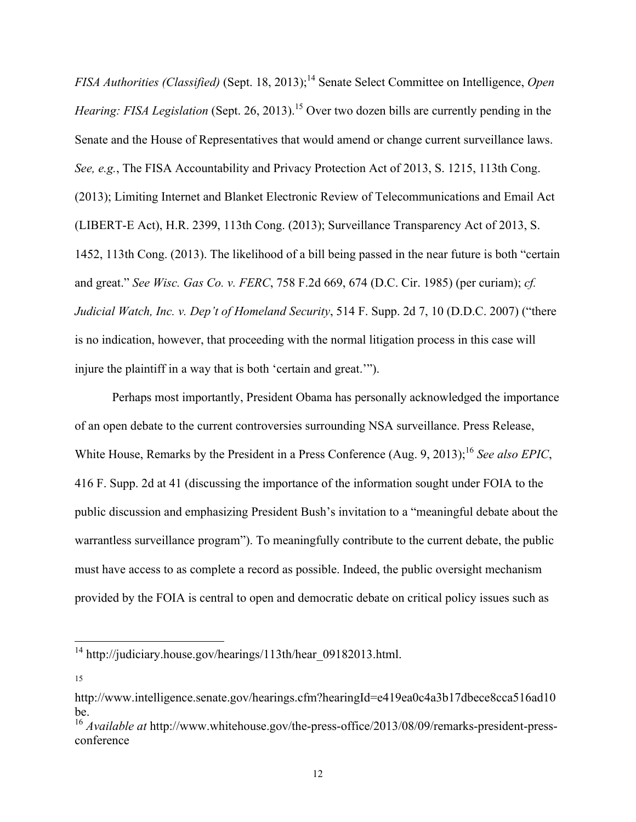*FISA Authorities (Classified)* (Sept. 18, 2013);<sup>14</sup> Senate Select Committee on Intelligence, *Open Hearing: FISA Legislation* (Sept. 26, 2013).<sup>15</sup> Over two dozen bills are currently pending in the Senate and the House of Representatives that would amend or change current surveillance laws. *See, e.g.*, The FISA Accountability and Privacy Protection Act of 2013, S. 1215, 113th Cong. (2013); Limiting Internet and Blanket Electronic Review of Telecommunications and Email Act (LIBERT-E Act), H.R. 2399, 113th Cong. (2013); Surveillance Transparency Act of 2013, S. 1452, 113th Cong. (2013). The likelihood of a bill being passed in the near future is both "certain and great." *See Wisc. Gas Co. v. FERC*, 758 F.2d 669, 674 (D.C. Cir. 1985) (per curiam); *cf. Judicial Watch, Inc. v. Dep't of Homeland Security*, 514 F. Supp. 2d 7, 10 (D.D.C. 2007) ("there is no indication, however, that proceeding with the normal litigation process in this case will injure the plaintiff in a way that is both 'certain and great.'").

Perhaps most importantly, President Obama has personally acknowledged the importance of an open debate to the current controversies surrounding NSA surveillance. Press Release, White House, Remarks by the President in a Press Conference (Aug. 9, 2013);<sup>16</sup> *See also EPIC*, 416 F. Supp. 2d at 41 (discussing the importance of the information sought under FOIA to the public discussion and emphasizing President Bush's invitation to a "meaningful debate about the warrantless surveillance program"). To meaningfully contribute to the current debate, the public must have access to as complete a record as possible. Indeed, the public oversight mechanism provided by the FOIA is central to open and democratic debate on critical policy issues such as

 $14 \text{ http://udiciary.house.gov/hearings/113th/hear09182013.html.}$ 

<sup>15</sup>

http://www.intelligence.senate.gov/hearings.cfm?hearingId=e419ea0c4a3b17dbece8cca516ad10 be.

<sup>16</sup> *Available at* http://www.whitehouse.gov/the-press-office/2013/08/09/remarks-president-pressconference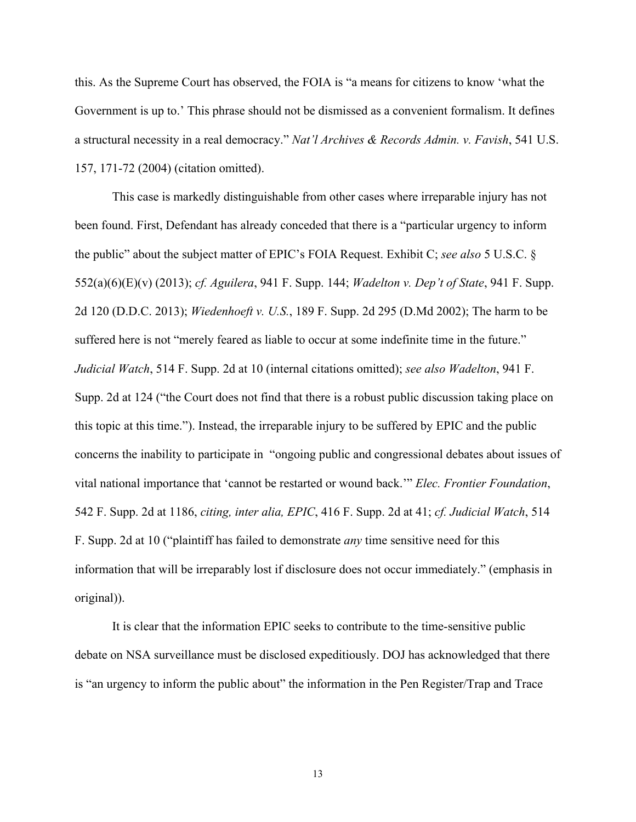this. As the Supreme Court has observed, the FOIA is "a means for citizens to know 'what the Government is up to.' This phrase should not be dismissed as a convenient formalism. It defines a structural necessity in a real democracy." *Nat'l Archives & Records Admin. v. Favish*, 541 U.S. 157, 171-72 (2004) (citation omitted).

This case is markedly distinguishable from other cases where irreparable injury has not been found. First, Defendant has already conceded that there is a "particular urgency to inform the public" about the subject matter of EPIC's FOIA Request. Exhibit C; *see also* 5 U.S.C. § 552(a)(6)(E)(v) (2013); *cf. Aguilera*, 941 F. Supp. 144; *Wadelton v. Dep't of State*, 941 F. Supp. 2d 120 (D.D.C. 2013); *Wiedenhoeft v. U.S.*, 189 F. Supp. 2d 295 (D.Md 2002); The harm to be suffered here is not "merely feared as liable to occur at some indefinite time in the future." *Judicial Watch*, 514 F. Supp. 2d at 10 (internal citations omitted); *see also Wadelton*, 941 F. Supp. 2d at 124 ("the Court does not find that there is a robust public discussion taking place on this topic at this time."). Instead, the irreparable injury to be suffered by EPIC and the public concerns the inability to participate in "ongoing public and congressional debates about issues of vital national importance that 'cannot be restarted or wound back.'" *Elec. Frontier Foundation*, 542 F. Supp. 2d at 1186, *citing, inter alia, EPIC*, 416 F. Supp. 2d at 41; *cf. Judicial Watch*, 514 F. Supp. 2d at 10 ("plaintiff has failed to demonstrate *any* time sensitive need for this information that will be irreparably lost if disclosure does not occur immediately." (emphasis in original)).

It is clear that the information EPIC seeks to contribute to the time-sensitive public debate on NSA surveillance must be disclosed expeditiously. DOJ has acknowledged that there is "an urgency to inform the public about" the information in the Pen Register/Trap and Trace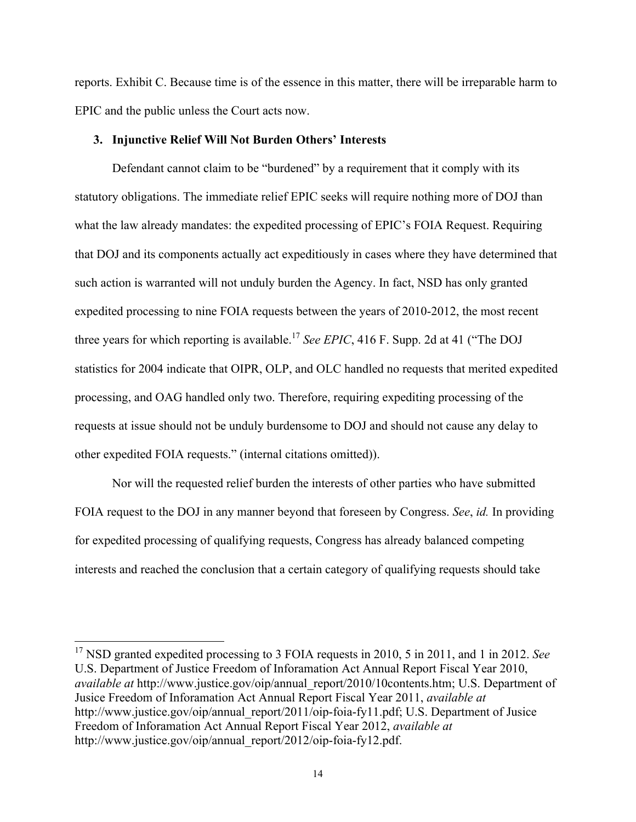reports. Exhibit C. Because time is of the essence in this matter, there will be irreparable harm to EPIC and the public unless the Court acts now.

### **3. Injunctive Relief Will Not Burden Others' Interests**

Defendant cannot claim to be "burdened" by a requirement that it comply with its statutory obligations. The immediate relief EPIC seeks will require nothing more of DOJ than what the law already mandates: the expedited processing of EPIC's FOIA Request. Requiring that DOJ and its components actually act expeditiously in cases where they have determined that such action is warranted will not unduly burden the Agency. In fact, NSD has only granted expedited processing to nine FOIA requests between the years of 2010-2012, the most recent three years for which reporting is available.<sup>17</sup> *See EPIC*, 416 F. Supp. 2d at 41 ("The DOJ statistics for 2004 indicate that OIPR, OLP, and OLC handled no requests that merited expedited processing, and OAG handled only two. Therefore, requiring expediting processing of the requests at issue should not be unduly burdensome to DOJ and should not cause any delay to other expedited FOIA requests." (internal citations omitted)).

Nor will the requested relief burden the interests of other parties who have submitted FOIA request to the DOJ in any manner beyond that foreseen by Congress. *See*, *id.* In providing for expedited processing of qualifying requests, Congress has already balanced competing interests and reached the conclusion that a certain category of qualifying requests should take

<sup>&</sup>lt;sup>17</sup> NSD granted expedited processing to 3 FOIA requests in 2010, 5 in 2011, and 1 in 2012. *See* U.S. Department of Justice Freedom of Inforamation Act Annual Report Fiscal Year 2010, *available at* http://www.justice.gov/oip/annual\_report/2010/10contents.htm; U.S. Department of Jusice Freedom of Inforamation Act Annual Report Fiscal Year 2011, *available at*  http://www.justice.gov/oip/annual\_report/2011/oip-foia-fy11.pdf; U.S. Department of Jusice Freedom of Inforamation Act Annual Report Fiscal Year 2012, *available at* http://www.justice.gov/oip/annual\_report/2012/oip-foia-fy12.pdf.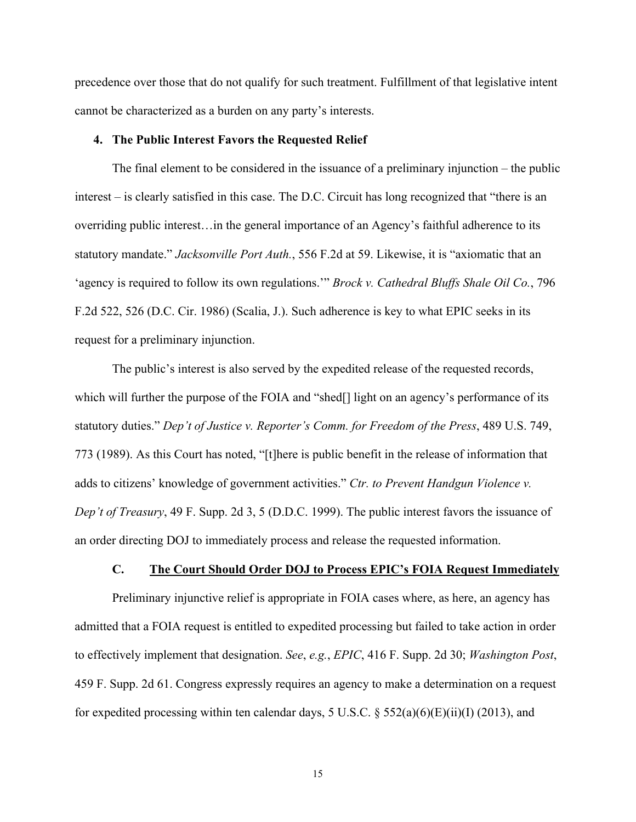precedence over those that do not qualify for such treatment. Fulfillment of that legislative intent cannot be characterized as a burden on any party's interests.

### **4. The Public Interest Favors the Requested Relief**

The final element to be considered in the issuance of a preliminary injunction – the public interest – is clearly satisfied in this case. The D.C. Circuit has long recognized that "there is an overriding public interest…in the general importance of an Agency's faithful adherence to its statutory mandate." *Jacksonville Port Auth.*, 556 F.2d at 59. Likewise, it is "axiomatic that an 'agency is required to follow its own regulations.'" *Brock v. Cathedral Bluffs Shale Oil Co.*, 796 F.2d 522, 526 (D.C. Cir. 1986) (Scalia, J.). Such adherence is key to what EPIC seeks in its request for a preliminary injunction.

The public's interest is also served by the expedited release of the requested records, which will further the purpose of the FOIA and "shed<sup>[]</sup> light on an agency's performance of its statutory duties." *Dep't of Justice v. Reporter's Comm. for Freedom of the Press*, 489 U.S. 749, 773 (1989). As this Court has noted, "[t]here is public benefit in the release of information that adds to citizens' knowledge of government activities." *Ctr. to Prevent Handgun Violence v. Dep't of Treasury*, 49 F. Supp. 2d 3, 5 (D.D.C. 1999). The public interest favors the issuance of an order directing DOJ to immediately process and release the requested information.

### **C. The Court Should Order DOJ to Process EPIC's FOIA Request Immediately**

Preliminary injunctive relief is appropriate in FOIA cases where, as here, an agency has admitted that a FOIA request is entitled to expedited processing but failed to take action in order to effectively implement that designation. *See*, *e.g.*, *EPIC*, 416 F. Supp. 2d 30; *Washington Post*, 459 F. Supp. 2d 61. Congress expressly requires an agency to make a determination on a request for expedited processing within ten calendar days, 5 U.S.C.  $\S$  552(a)(6)(E)(ii)(I) (2013), and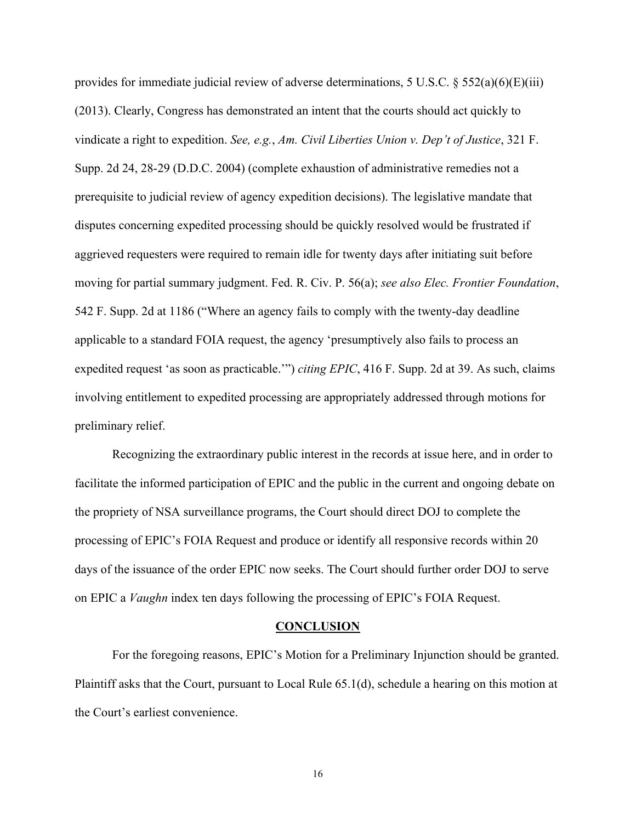provides for immediate judicial review of adverse determinations, 5 U.S.C.  $\S$  552(a)(6)(E)(iii) (2013). Clearly, Congress has demonstrated an intent that the courts should act quickly to vindicate a right to expedition. *See, e.g.*, *Am. Civil Liberties Union v. Dep't of Justice*, 321 F. Supp. 2d 24, 28-29 (D.D.C. 2004) (complete exhaustion of administrative remedies not a prerequisite to judicial review of agency expedition decisions). The legislative mandate that disputes concerning expedited processing should be quickly resolved would be frustrated if aggrieved requesters were required to remain idle for twenty days after initiating suit before moving for partial summary judgment. Fed. R. Civ. P. 56(a); *see also Elec. Frontier Foundation*, 542 F. Supp. 2d at 1186 ("Where an agency fails to comply with the twenty-day deadline applicable to a standard FOIA request, the agency 'presumptively also fails to process an expedited request 'as soon as practicable.'") *citing EPIC*, 416 F. Supp. 2d at 39. As such, claims involving entitlement to expedited processing are appropriately addressed through motions for preliminary relief.

Recognizing the extraordinary public interest in the records at issue here, and in order to facilitate the informed participation of EPIC and the public in the current and ongoing debate on the propriety of NSA surveillance programs, the Court should direct DOJ to complete the processing of EPIC's FOIA Request and produce or identify all responsive records within 20 days of the issuance of the order EPIC now seeks. The Court should further order DOJ to serve on EPIC a *Vaughn* index ten days following the processing of EPIC's FOIA Request.

#### **CONCLUSION**

For the foregoing reasons, EPIC's Motion for a Preliminary Injunction should be granted. Plaintiff asks that the Court, pursuant to Local Rule 65.1(d), schedule a hearing on this motion at the Court's earliest convenience.